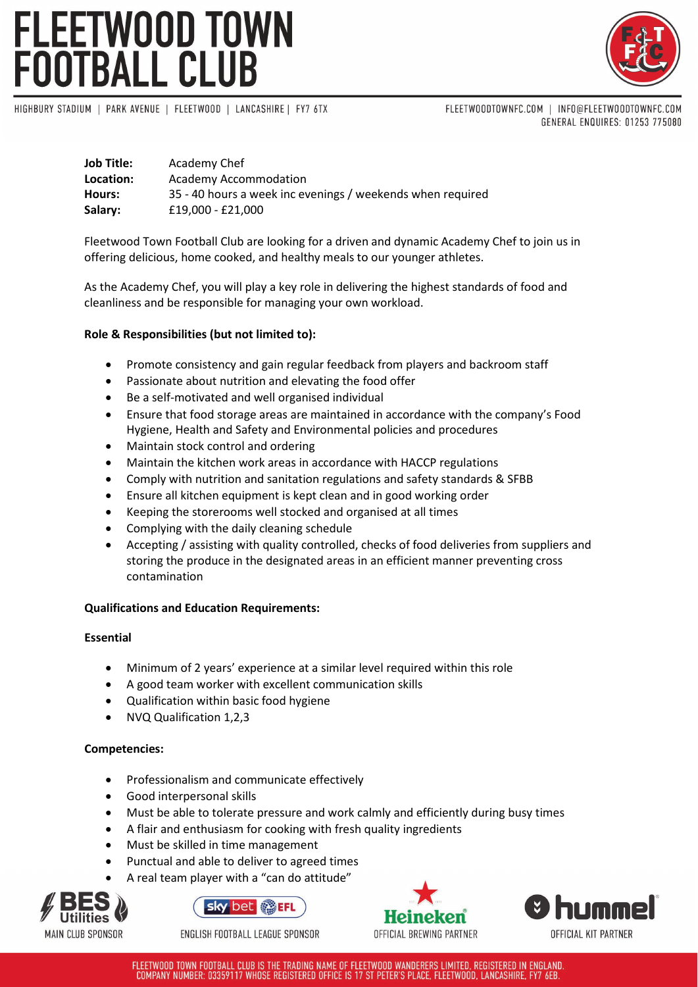# FLEETWOOD TOWN<br>FOOTBALL CLUB



HIGHBURY STADIUM | PARK AVENUE | FLEETWOOD | LANCASHIRE | FY7 6TX

FLEETWOODTOWNFC.COM | INFO@FLEETWOODTOWNFC.COM GENERAL ENQUIRES: 01253 775080

| Job Title: | Academy Chef                                               |
|------------|------------------------------------------------------------|
| Location:  | Academy Accommodation                                      |
| Hours:     | 35 - 40 hours a week inc evenings / weekends when required |
| Salary:    | £19,000 - £21,000                                          |

Fleetwood Town Football Club are looking for a driven and dynamic Academy Chef to join us in offering delicious, home cooked, and healthy meals to our younger athletes.

As the Academy Chef, you will play a key role in delivering the highest standards of food and cleanliness and be responsible for managing your own workload.

## **Role & Responsibilities (but not limited to):**

- Promote consistency and gain regular feedback from players and backroom staff
- Passionate about nutrition and elevating the food offer
- Be a self-motivated and well organised individual
- Ensure that food storage areas are maintained in accordance with the company's Food Hygiene, Health and Safety and Environmental policies and procedures
- Maintain stock control and ordering
- Maintain the kitchen work areas in accordance with HACCP regulations
- Comply with nutrition and sanitation regulations and safety standards & SFBB
- Ensure all kitchen equipment is kept clean and in good working order
- Keeping the storerooms well stocked and organised at all times
- Complying with the daily cleaning schedule
- Accepting / assisting with quality controlled, checks of food deliveries from suppliers and storing the produce in the designated areas in an efficient manner preventing cross contamination

## **Qualifications and Education Requirements:**

## **Essential**

- Minimum of 2 years' experience at a similar level required within this role
- A good team worker with excellent communication skills
- Qualification within basic food hygiene
- NVQ Qualification 1,2,3

## **Competencies:**

- Professionalism and communicate effectively
- Good interpersonal skills
- Must be able to tolerate pressure and work calmly and efficiently during busy times
- A flair and enthusiasm for cooking with fresh quality ingredients
- Must be skilled in time management
- Punctual and able to deliver to agreed times
- A real team player with a "can do attitude"





ENGLISH FOOTBALL LEAGUE SPONSOR





FLEETWOOD TOWN FOOTBALL CLUB IS THE TRADING NAME OF FLEETWOOD WANDERERS LIMITED, REGISTERED IN ENGLAND. COMPANY NUMBER: 03359117 WHOSE REGISTERED OFFICE IS 17 ST PETER'S PLACE, FLEETWOOD, LANCASHIRE, FY7 6EB.